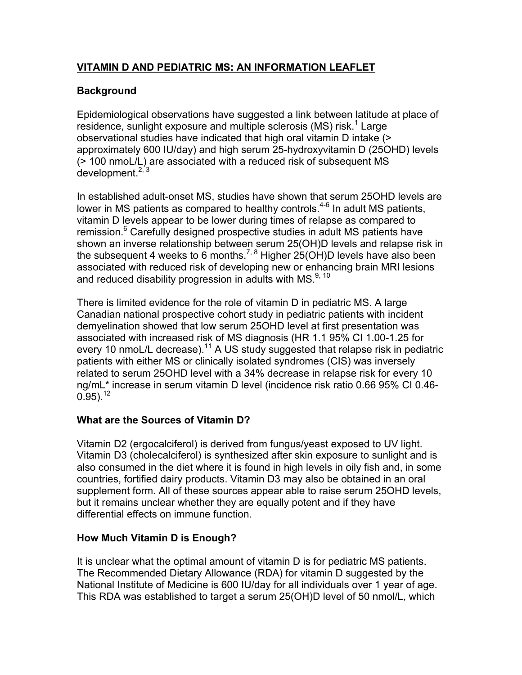# **VITAMIN D AND PEDIATRIC MS: AN INFORMATION LEAFLET**

# **Background**

Epidemiological observations have suggested a link between latitude at place of residence, sunlight exposure and multiple sclerosis (MS) risk.<sup>1</sup> Large observational studies have indicated that high oral vitamin D intake (> approximately 600 IU/day) and high serum 25-hydroxyvitamin D (25OHD) levels (> 100 nmoL/L) are associated with a reduced risk of subsequent MS development. $2,3$ 

In established adult-onset MS, studies have shown that serum 25OHD levels are lower in MS patients as compared to healthy controls.4-6 In adult MS patients, vitamin D levels appear to be lower during times of relapse as compared to remission. <sup>6</sup> Carefully designed prospective studies in adult MS patients have shown an inverse relationship between serum 25(OH)D levels and relapse risk in the subsequent 4 weeks to 6 months.<sup>7, 8</sup> Higher  $25(OH)D$  levels have also been associated with reduced risk of developing new or enhancing brain MRI lesions and reduced disability progression in adults with MS.<sup>9, 10</sup>

There is limited evidence for the role of vitamin D in pediatric MS. A large Canadian national prospective cohort study in pediatric patients with incident demyelination showed that low serum 25OHD level at first presentation was associated with increased risk of MS diagnosis (HR 1.1 95% CI 1.00-1.25 for every 10 nmoL/L decrease).<sup>11</sup> A US study suggested that relapse risk in pediatric patients with either MS or clinically isolated syndromes (CIS) was inversely related to serum 25OHD level with a 34% decrease in relapse risk for every 10 ng/mL\* increase in serum vitamin D level (incidence risk ratio 0.66 95% CI 0.46-  $0.95$ ).<sup>12</sup>

# **What are the Sources of Vitamin D?**

Vitamin D2 (ergocalciferol) is derived from fungus/yeast exposed to UV light. Vitamin D3 (cholecalciferol) is synthesized after skin exposure to sunlight and is also consumed in the diet where it is found in high levels in oily fish and, in some countries, fortified dairy products. Vitamin D3 may also be obtained in an oral supplement form. All of these sources appear able to raise serum 25OHD levels, but it remains unclear whether they are equally potent and if they have differential effects on immune function.

#### **How Much Vitamin D is Enough?**

It is unclear what the optimal amount of vitamin D is for pediatric MS patients. The Recommended Dietary Allowance (RDA) for vitamin D suggested by the National Institute of Medicine is 600 IU/day for all individuals over 1 year of age. This RDA was established to target a serum 25(OH)D level of 50 nmol/L, which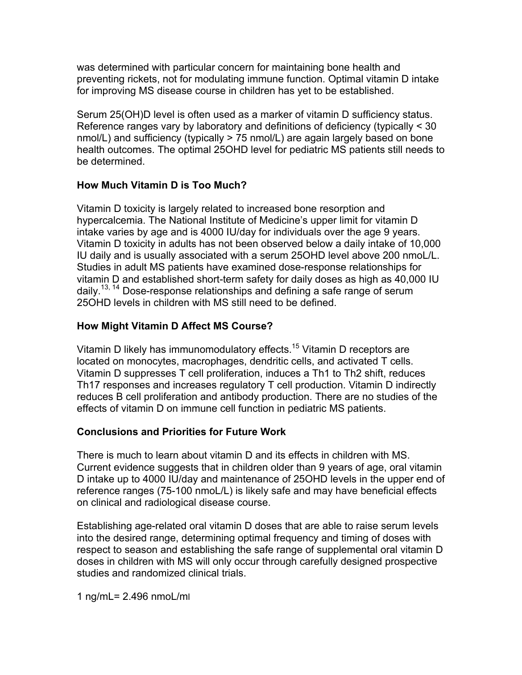was determined with particular concern for maintaining bone health and preventing rickets, not for modulating immune function. Optimal vitamin D intake for improving MS disease course in children has yet to be established.

Serum 25(OH)D level is often used as a marker of vitamin D sufficiency status. Reference ranges vary by laboratory and definitions of deficiency (typically < 30 nmol/L) and sufficiency (typically > 75 nmol/L) are again largely based on bone health outcomes. The optimal 25OHD level for pediatric MS patients still needs to be determined.

#### **How Much Vitamin D is Too Much?**

Vitamin D toxicity is largely related to increased bone resorption and hypercalcemia. The National Institute of Medicine's upper limit for vitamin D intake varies by age and is 4000 IU/day for individuals over the age 9 years. Vitamin D toxicity in adults has not been observed below a daily intake of 10,000 IU daily and is usually associated with a serum 25OHD level above 200 nmoL/L. Studies in adult MS patients have examined dose-response relationships for vitamin D and established short-term safety for daily doses as high as 40,000 IU daily.13, 14 Dose-response relationships and defining a safe range of serum 25OHD levels in children with MS still need to be defined.

### **How Might Vitamin D Affect MS Course?**

Vitamin D likely has immunomodulatory effects.<sup>15</sup> Vitamin D receptors are located on monocytes, macrophages, dendritic cells, and activated T cells. Vitamin D suppresses T cell proliferation, induces a Th1 to Th2 shift, reduces Th17 responses and increases regulatory T cell production. Vitamin D indirectly reduces B cell proliferation and antibody production. There are no studies of the effects of vitamin D on immune cell function in pediatric MS patients.

#### **Conclusions and Priorities for Future Work**

There is much to learn about vitamin D and its effects in children with MS. Current evidence suggests that in children older than 9 years of age, oral vitamin D intake up to 4000 IU/day and maintenance of 25OHD levels in the upper end of reference ranges (75-100 nmoL/L) is likely safe and may have beneficial effects on clinical and radiological disease course.

Establishing age-related oral vitamin D doses that are able to raise serum levels into the desired range, determining optimal frequency and timing of doses with respect to season and establishing the safe range of supplemental oral vitamin D doses in children with MS will only occur through carefully designed prospective studies and randomized clinical trials.

1 ng/mL= 2.496 nmoL/ml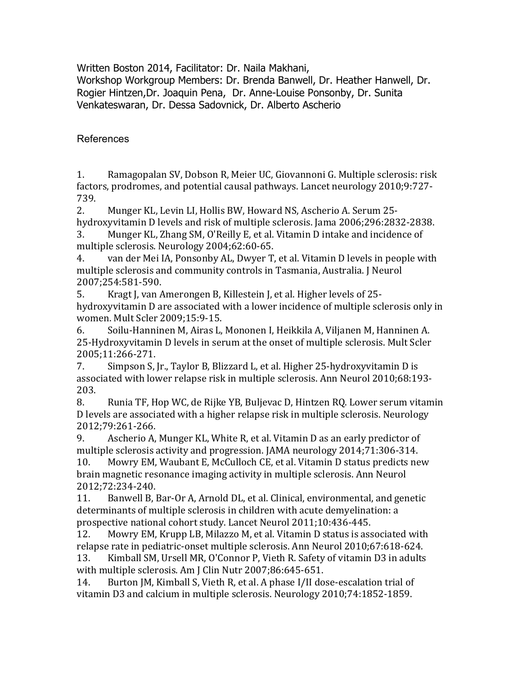Written Boston 2014, Facilitator: Dr. Naila Makhani,

Workshop Workgroup Members: Dr. Brenda Banwell, Dr. Heather Hanwell, Dr. Rogier Hintzen,Dr. Joaquin Pena, Dr. Anne-Louise Ponsonby, Dr. Sunita Venkateswaran, Dr. Dessa Sadovnick, Dr. Alberto Ascherio

References

1. Ramagopalan SV, Dobson R, Meier UC, Giovannoni G. Multiple sclerosis: risk factors, prodromes, and potential causal pathways. Lancet neurology 2010;9:727-739.

2. Munger KL, Levin LI, Hollis BW, Howard NS, Ascherio A. Serum 25hydroxyvitamin D levels and risk of multiple sclerosis. Jama 2006;296:2832-2838.

3. Munger KL, Zhang SM, O'Reilly E, et al. Vitamin D intake and incidence of multiple sclerosis. Neurology 2004;62:60-65.

4. van der Mei IA, Ponsonby AL, Dwyer T, et al. Vitamin D levels in people with multiple sclerosis and community controls in Tasmania, Australia. J Neurol 2007;254:581-590.

5. Kragt J, van Amerongen B, Killestein J, et al. Higher levels of 25hydroxyvitamin D are associated with a lower incidence of multiple sclerosis only in women. Mult Scler 2009;15:9-15.

6. Soilu-Hanninen M, Airas L, Mononen I, Heikkila A, Viljanen M, Hanninen A. 25-Hydroxyvitamin D levels in serum at the onset of multiple sclerosis. Mult Scler 2005;11:266-271.

7. Simpson S, Jr., Taylor B, Blizzard L, et al. Higher 25-hydroxyvitamin D is associated with lower relapse risk in multiple sclerosis. Ann Neurol 2010;68:193-203.

8. Runia TF, Hop WC, de Rijke YB, Buljevac D, Hintzen RQ. Lower serum vitamin D levels are associated with a higher relapse risk in multiple sclerosis. Neurology 2012;79:261-266.

9. Ascherio A, Munger KL, White R, et al. Vitamin D as an early predictor of multiple sclerosis activity and progression. JAMA neurology 2014;71:306-314.

10. Mowry EM, Waubant E, McCulloch CE, et al. Vitamin D status predicts new brain magnetic resonance imaging activity in multiple sclerosis. Ann Neurol 2012;72:234-240.

11. Banwell B, Bar-Or A, Arnold DL, et al. Clinical, environmental, and genetic determinants of multiple sclerosis in children with acute demyelination: a prospective national cohort study. Lancet Neurol 2011;10:436-445.

12. Mowry EM, Krupp LB, Milazzo M, et al. Vitamin D status is associated with relapse rate in pediatric-onset multiple sclerosis. Ann Neurol 2010;67:618-624. 13. Kimball SM, Ursell MR, O'Connor P, Vieth R. Safety of vitamin D3 in adults with multiple sclerosis. Am J Clin Nutr 2007;86:645-651.

14. Burton JM, Kimball S, Vieth R, et al. A phase I/II dose-escalation trial of vitamin D3 and calcium in multiple sclerosis. Neurology 2010;74:1852-1859.